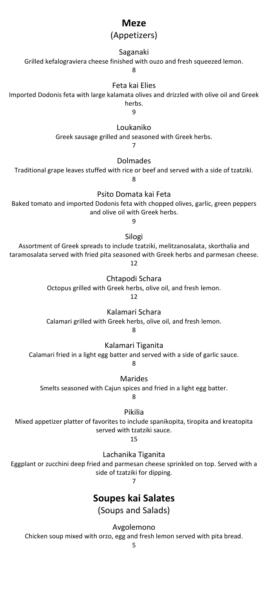## **Meze**

## (Appetizers)

## Saganaki

Grilled kefalograviera cheese finished with ouzo and fresh squeezed lemon.

8

## Feta kai Elies

Imported Dodonis feta with large kalamata olives and drizzled with olive oil and Greek herbs.

9

Loukaniko

Greek sausage grilled and seasoned with Greek herbs.

7

Dolmades

Traditional grape leaves stuffed with rice or beef and served with a side of tzatziki.

8

Psito Domata kai Feta

Baked tomato and imported Dodonis feta with chopped olives, garlic, green peppers and olive oil with Greek herbs.

9

Silogi

Assortment of Greek spreads to include tzatziki, melitzanosalata, skorthalia and taramosalata served with fried pita seasoned with Greek herbs and parmesan cheese. 12

Chtapodi Schara

Octopus grilled with Greek herbs, olive oil, and fresh lemon.

12

Kalamari Schara

Calamari grilled with Greek herbs, olive oil, and fresh lemon.

8

Kalamari Tiganita

Calamari fried in a light egg batter and served with a side of garlic sauce.

8

Marides

Smelts seasoned with Cajun spices and fried in a light egg batter.

8

Pikilia

Mixed appetizer platter of favorites to include spanikopita, tiropita and kreatopita served with tzatziki sauce.

15

Lachanika Tiganita

Eggplant or zucchini deep fried and parmesan cheese sprinkled on top. Served with a side of tzatziki for dipping.

7

# **Soupes kai Salates**

(Soups and Salads)

Avgolemono

Chicken soup mixed with orzo, egg and fresh lemon served with pita bread.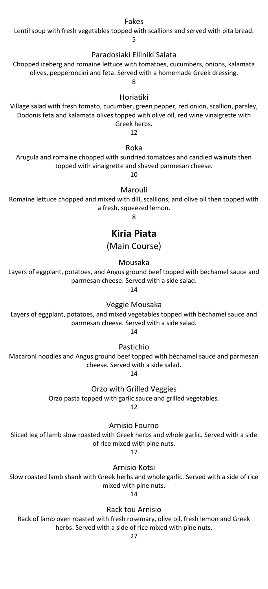#### Fakes

Lentil soup with fresh vegetables topped with scallions and served with pita bread.

5

#### Paradosiaki Elliniki Salata

Chopped iceberg and romaine lettuce with tomatoes, cucumbers, onions, kalamata olives, pepperoncini and feta. Served with a homemade Greek dressing.

 $\mathbf{Q}$ 

#### Horiatiki

Village salad with fresh tomato, cucumber, green pepper, red onion, scallion, parsley, Dodonis feta and kalamata olives topped with olive oil, red wine vinaigrette with Greek herbs.

12

### Roka

Arugula and romaine chopped with sundried tomatoes and candied walnuts then topped with vinaigrette and shaved parmesan cheese.

10

#### Marouli

Romaine lettuce chopped and mixed with dill, scallions, and olive oil then topped with a fresh, squeezed lemon.

8

## **Kiria Piata**

(Main Course)

Mousaka

Layers of eggplant, potatoes, and Angus ground beef topped with béchamel sauce and parmesan cheese. Served with a side salad.

14

Veggie Mousaka

Layers of eggplant, potatoes, and mixed vegetables topped with béchamel sauce and parmesan cheese. Served with a side salad.

14

Pastichio

Macaroni noodles and Angus ground beef topped with béchamel sauce and parmesan cheese. Served with a side salad.

14

Orzo with Grilled Veggies

Orzo pasta topped with garlic sauce and grilled vegetables.

12

Arnisio Fourno

Sliced leg of lamb slow roasted with Greek herbs and whole garlic. Served with a side of rice mixed with pine nuts.

17

Arnisio Kotsi

Slow roasted lamb shank with Greek herbs and whole garlic. Served with a side of rice mixed with pine nuts.

14

Rack tou Arnisio

Rack of lamb oven roasted with fresh rosemary, olive oil, fresh lemon and Greek herbs. Served with a side of rice mixed with pine nuts.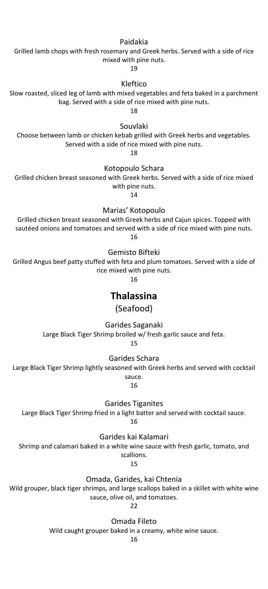#### Paidakia

Grilled lamb chops with fresh rosemary and Greek herbs. Served with a side of rice mixed with pine nuts.

19

## Kleftico

Slow roasted, sliced leg of lamb with mixed vegetables and feta baked in a parchment bag. Served with a side of rice mixed with pine nuts.

18

Souvlaki

Choose between lamb or chicken kebab grilled with Greek herbs and vegetables. Served with a side of rice mixed with pine nuts.

18

#### Kotopoulo Schara

Grilled chicken breast seasoned with Greek herbs. Served with a side of rice mixed with pine nuts.

14

Marias' Kotopoulo

Grilled chicken breast seasoned with Greek herbs and Cajun spices. Topped with sautéed onions and tomatoes and served with a side of rice mixed with pine nuts. 16

#### Gemisto Bifteki

Grilled Angus beef patty stuffed with feta and plum tomatoes. Served with a side of rice mixed with pine nuts.

16

## **Thalassina**

(Seafood)

Garides Saganaki

Large Black Tiger Shrimp broiled w/ fresh garlic sauce and feta.

15

Garides Schara

Large Black Tiger Shrimp lightly seasoned with Greek herbs and served with cocktail sauce.

16

Garides Tiganites

Large Black Tiger Shrimp fried in a light batter and served with cocktail sauce.

16

Garides kai Kalamari

Shrimp and calamari baked in a white wine sauce with fresh garlic, tomato, and

scallions.

15

Omada, Garides, kai Chtenia

Wild grouper, black tiger shrimps, and large scallops baked in a skillet with white wine sauce, olive oil, and tomatoes.

 $22$ 

Omada Fileto

Wild caught grouper baked in a creamy, white wine sauce.